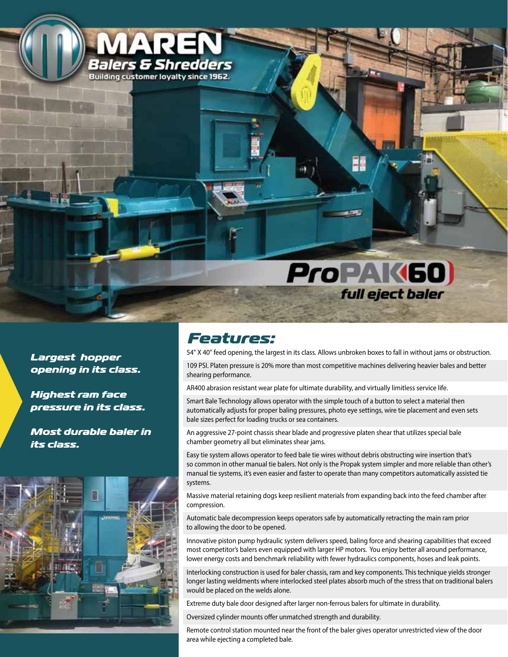

*Largest hopper opening in its class.*

*Highest ram face pressure in its class.*

*Most durable baler in its class.*



## *Features:*

54" X 40" feed opening, the largest in its class. Allows unbroken boxes to fall in without jams or obstruction.

109 PSI. Platen pressure is 20% more than most competitive machines delivering heavier bales and better shearing performance.

AR400 abrasion resistant wear plate for ultimate durability, and virtually limitless service life.

Smart Bale Technology allows operator with the simple touch of a button to select a material then automatically adjusts for proper baling pressures, photo eye settings, wire tie placement and even sets bale sizes perfect for loading trucks or sea containers.

An aggressive 27-point chassis shear blade and progressive platen shear that utilizes special bale chamber geometry all but eliminates shear jams.

Easy tie system allows operator to feed bale tie wires without debris obstructing wire insertion that's so common in other manual tie balers. Not only is the Propak system simpler and more reliable than other's manual tie systems, it's even easier and faster to operate than many competitors automatically assisted tie systems.

Massive material retaining dogs keep resilient materials from expanding back into the feed chamber after compression.

Automatic bale decompression keeps operators safe by automatically retracting the main ram prior to allowing the door to be opened.

Innovative piston pump hydraulic system delivers speed, baling force and shearing capabilities that exceed most competitor's balers even equipped with larger HP motors. You enjoy better all around performance, lower energy costs and benchmark reliability with fewer hydraulics components, hoses and leak points.

Interlocking construction is used for baler chassis, ram and key components. This technique yields stronger longer lasting weldments where interlocked steel plates absorb much of the stress that on traditional balers would be placed on the welds alone.

Extreme duty bale door designed after larger non-ferrous balers for ultimate in durability.

Oversized cylinder mounts offer unmatched strength and durability.

Remote control station mounted near the front of the baler gives operator unrestricted view of the door area while ejecting a completed bale.